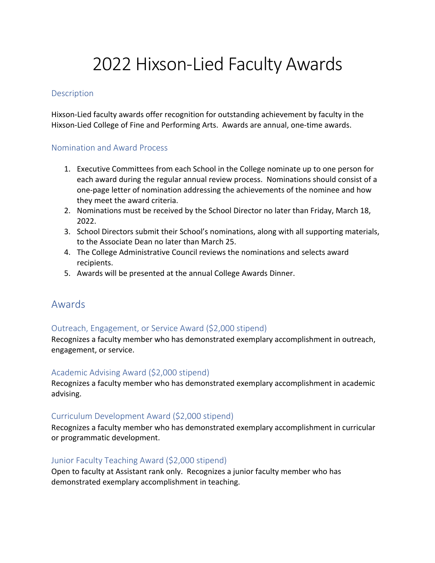# 2022 Hixson-Lied Faculty Awards

#### Description

Hixson-Lied faculty awards offer recognition for outstanding achievement by faculty in the Hixson-Lied College of Fine and Performing Arts. Awards are annual, one-time awards.

# Nomination and Award Process

- 1. Executive Committees from each School in the College nominate up to one person for each award during the regular annual review process. Nominations should consist of a one-page letter of nomination addressing the achievements of the nominee and how they meet the award criteria.
- 2. Nominations must be received by the School Director no later than Friday, March 18, 2022.
- 3. School Directors submit their School's nominations, along with all supporting materials, to the Associate Dean no later than March 25.
- 4. The College Administrative Council reviews the nominations and selects award recipients.
- 5. Awards will be presented at the annual College Awards Dinner.

# Awards

# Outreach, Engagement, or Service Award (\$2,000 stipend)

Recognizes a faculty member who has demonstrated exemplary accomplishment in outreach, engagement, or service.

# Academic Advising Award (\$2,000 stipend)

Recognizes a faculty member who has demonstrated exemplary accomplishment in academic advising.

# Curriculum Development Award (\$2,000 stipend)

Recognizes a faculty member who has demonstrated exemplary accomplishment in curricular or programmatic development.

# Junior Faculty Teaching Award (\$2,000 stipend)

Open to faculty at Assistant rank only. Recognizes a junior faculty member who has demonstrated exemplary accomplishment in teaching.